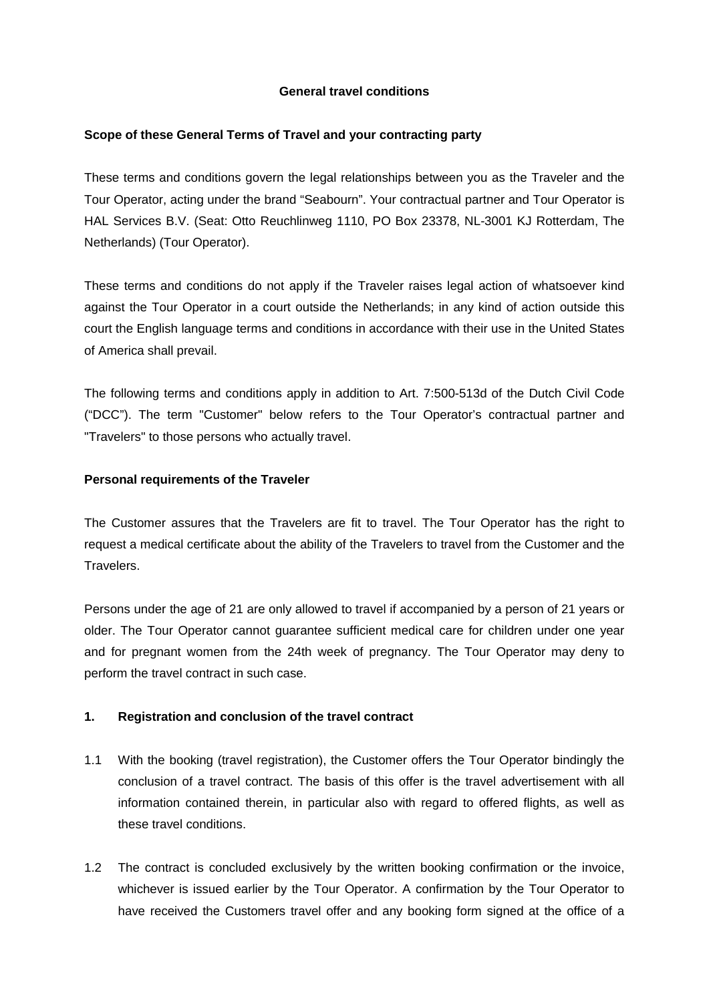## **General travel conditions**

## **Scope of these General Terms of Travel and your contracting party**

These terms and conditions govern the legal relationships between you as the Traveler and the Tour Operator, acting under the brand "Seabourn". Your contractual partner and Tour Operator is HAL Services B.V. (Seat: Otto Reuchlinweg 1110, PO Box 23378, NL-3001 KJ Rotterdam, The Netherlands) (Tour Operator).

These terms and conditions do not apply if the Traveler raises legal action of whatsoever kind against the Tour Operator in a court outside the Netherlands; in any kind of action outside this court the English language terms and conditions in accordance with their use in the United States of America shall prevail.

The following terms and conditions apply in addition to Art. 7:500-513d of the Dutch Civil Code ("DCC"). The term "Customer" below refers to the Tour Operator's contractual partner and "Travelers" to those persons who actually travel.

## **Personal requirements of the Traveler**

The Customer assures that the Travelers are fit to travel. The Tour Operator has the right to request a medical certificate about the ability of the Travelers to travel from the Customer and the Travelers.

Persons under the age of 21 are only allowed to travel if accompanied by a person of 21 years or older. The Tour Operator cannot guarantee sufficient medical care for children under one year and for pregnant women from the 24th week of pregnancy. The Tour Operator may deny to perform the travel contract in such case.

# **1. Registration and conclusion of the travel contract**

- 1.1 With the booking (travel registration), the Customer offers the Tour Operator bindingly the conclusion of a travel contract. The basis of this offer is the travel advertisement with all information contained therein, in particular also with regard to offered flights, as well as these travel conditions.
- 1.2 The contract is concluded exclusively by the written booking confirmation or the invoice, whichever is issued earlier by the Tour Operator. A confirmation by the Tour Operator to have received the Customers travel offer and any booking form signed at the office of a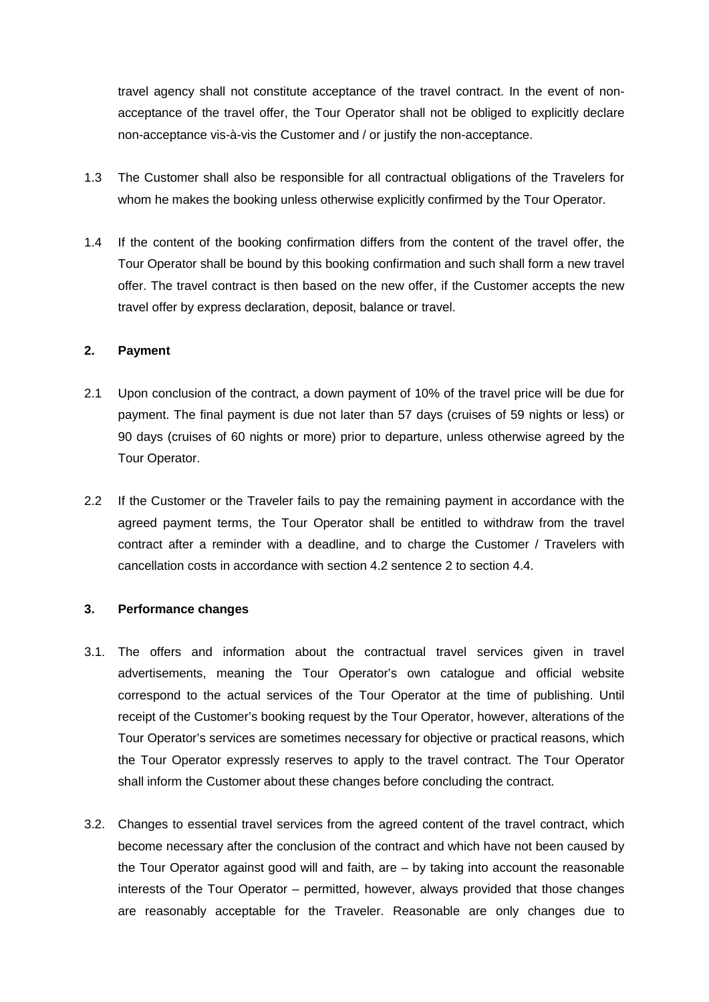travel agency shall not constitute acceptance of the travel contract. In the event of nonacceptance of the travel offer, the Tour Operator shall not be obliged to explicitly declare non-acceptance vis-à-vis the Customer and / or justify the non-acceptance.

- 1.3 The Customer shall also be responsible for all contractual obligations of the Travelers for whom he makes the booking unless otherwise explicitly confirmed by the Tour Operator.
- 1.4 If the content of the booking confirmation differs from the content of the travel offer, the Tour Operator shall be bound by this booking confirmation and such shall form a new travel offer. The travel contract is then based on the new offer, if the Customer accepts the new travel offer by express declaration, deposit, balance or travel.

## **2. Payment**

- 2.1 Upon conclusion of the contract, a down payment of 10% of the travel price will be due for payment. The final payment is due not later than 57 days (cruises of 59 nights or less) or 90 days (cruises of 60 nights or more) prior to departure, unless otherwise agreed by the Tour Operator.
- 2.2 If the Customer or the Traveler fails to pay the remaining payment in accordance with the agreed payment terms, the Tour Operator shall be entitled to withdraw from the travel contract after a reminder with a deadline, and to charge the Customer / Travelers with cancellation costs in accordance with section 4.2 sentence 2 to section 4.4.

### **3. Performance changes**

- 3.1. The offers and information about the contractual travel services given in travel advertisements, meaning the Tour Operator's own catalogue and official website correspond to the actual services of the Tour Operator at the time of publishing. Until receipt of the Customer's booking request by the Tour Operator, however, alterations of the Tour Operator's services are sometimes necessary for objective or practical reasons, which the Tour Operator expressly reserves to apply to the travel contract. The Tour Operator shall inform the Customer about these changes before concluding the contract.
- 3.2. Changes to essential travel services from the agreed content of the travel contract, which become necessary after the conclusion of the contract and which have not been caused by the Tour Operator against good will and faith, are – by taking into account the reasonable interests of the Tour Operator – permitted, however, always provided that those changes are reasonably acceptable for the Traveler. Reasonable are only changes due to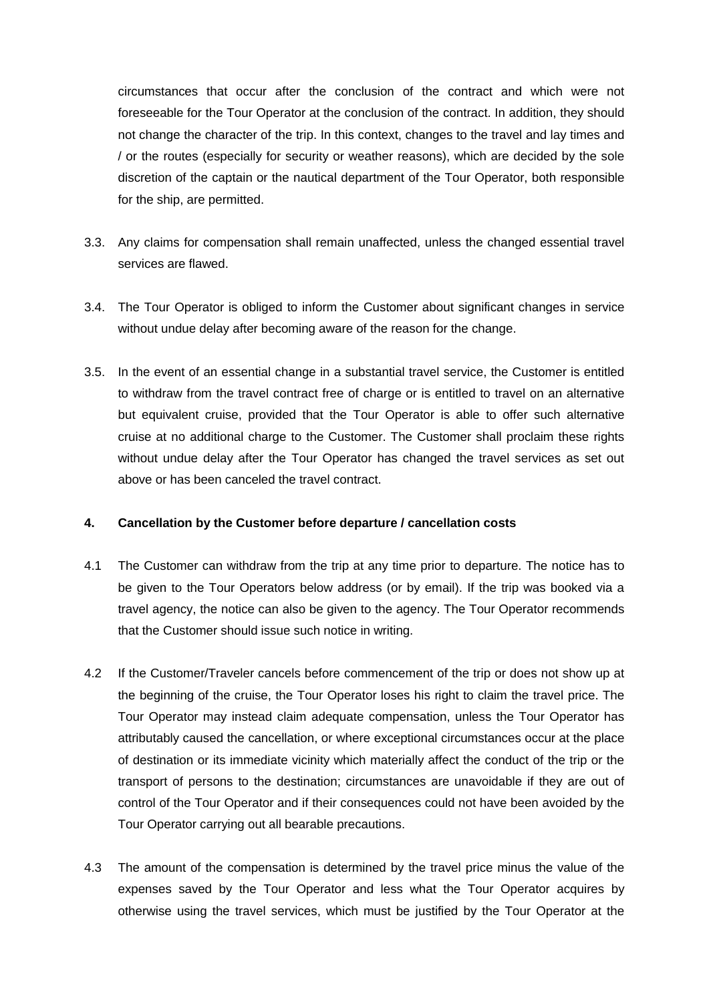circumstances that occur after the conclusion of the contract and which were not foreseeable for the Tour Operator at the conclusion of the contract. In addition, they should not change the character of the trip. In this context, changes to the travel and lay times and / or the routes (especially for security or weather reasons), which are decided by the sole discretion of the captain or the nautical department of the Tour Operator, both responsible for the ship, are permitted.

- 3.3. Any claims for compensation shall remain unaffected, unless the changed essential travel services are flawed.
- 3.4. The Tour Operator is obliged to inform the Customer about significant changes in service without undue delay after becoming aware of the reason for the change.
- 3.5. In the event of an essential change in a substantial travel service, the Customer is entitled to withdraw from the travel contract free of charge or is entitled to travel on an alternative but equivalent cruise, provided that the Tour Operator is able to offer such alternative cruise at no additional charge to the Customer. The Customer shall proclaim these rights without undue delay after the Tour Operator has changed the travel services as set out above or has been canceled the travel contract.

# **4. Cancellation by the Customer before departure / cancellation costs**

- 4.1 The Customer can withdraw from the trip at any time prior to departure. The notice has to be given to the Tour Operators below address (or by email). If the trip was booked via a travel agency, the notice can also be given to the agency. The Tour Operator recommends that the Customer should issue such notice in writing.
- 4.2 If the Customer/Traveler cancels before commencement of the trip or does not show up at the beginning of the cruise, the Tour Operator loses his right to claim the travel price. The Tour Operator may instead claim adequate compensation, unless the Tour Operator has attributably caused the cancellation, or where exceptional circumstances occur at the place of destination or its immediate vicinity which materially affect the conduct of the trip or the transport of persons to the destination; circumstances are unavoidable if they are out of control of the Tour Operator and if their consequences could not have been avoided by the Tour Operator carrying out all bearable precautions.
- 4.3 The amount of the compensation is determined by the travel price minus the value of the expenses saved by the Tour Operator and less what the Tour Operator acquires by otherwise using the travel services, which must be justified by the Tour Operator at the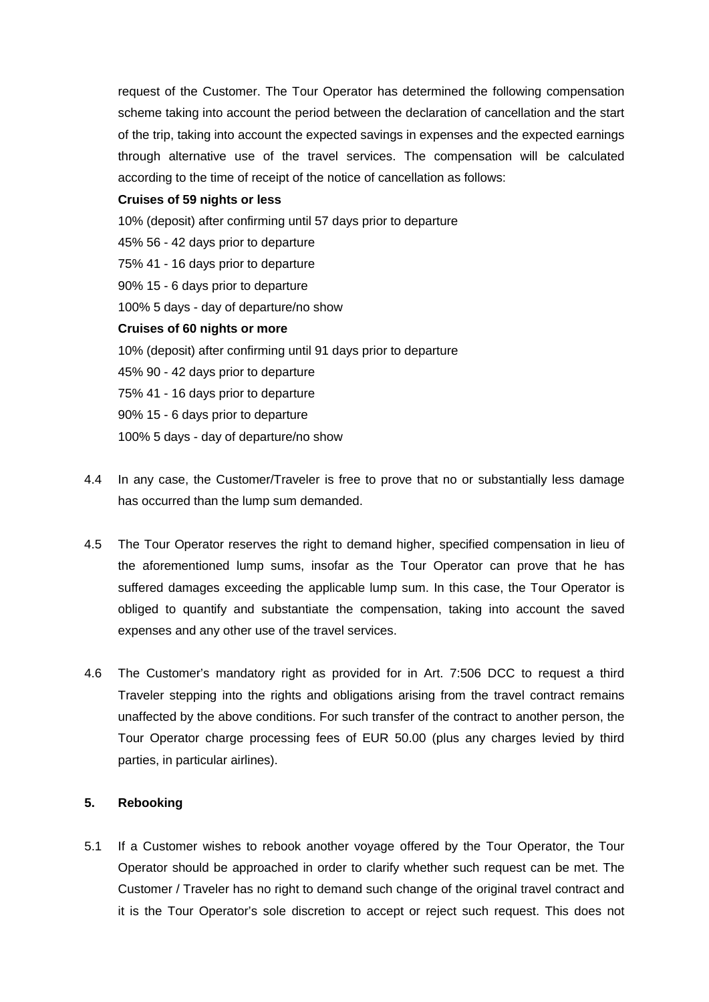request of the Customer. The Tour Operator has determined the following compensation scheme taking into account the period between the declaration of cancellation and the start of the trip, taking into account the expected savings in expenses and the expected earnings through alternative use of the travel services. The compensation will be calculated according to the time of receipt of the notice of cancellation as follows:

## **Cruises of 59 nights or less**

10% (deposit) after confirming until 57 days prior to departure 45% 56 - 42 days prior to departure 75% 41 - 16 days prior to departure 90% 15 - 6 days prior to departure 100% 5 days - day of departure/no show **Cruises of 60 nights or more** 10% (deposit) after confirming until 91 days prior to departure 45% 90 - 42 days prior to departure 75% 41 - 16 days prior to departure 90% 15 - 6 days prior to departure

100% 5 days - day of departure/no show

- 4.4 In any case, the Customer/Traveler is free to prove that no or substantially less damage has occurred than the lump sum demanded.
- 4.5 The Tour Operator reserves the right to demand higher, specified compensation in lieu of the aforementioned lump sums, insofar as the Tour Operator can prove that he has suffered damages exceeding the applicable lump sum. In this case, the Tour Operator is obliged to quantify and substantiate the compensation, taking into account the saved expenses and any other use of the travel services.
- 4.6 The Customer's mandatory right as provided for in Art. 7:506 DCC to request a third Traveler stepping into the rights and obligations arising from the travel contract remains unaffected by the above conditions. For such transfer of the contract to another person, the Tour Operator charge processing fees of EUR 50.00 (plus any charges levied by third parties, in particular airlines).

# **5. Rebooking**

5.1 If a Customer wishes to rebook another voyage offered by the Tour Operator, the Tour Operator should be approached in order to clarify whether such request can be met. The Customer / Traveler has no right to demand such change of the original travel contract and it is the Tour Operator's sole discretion to accept or reject such request. This does not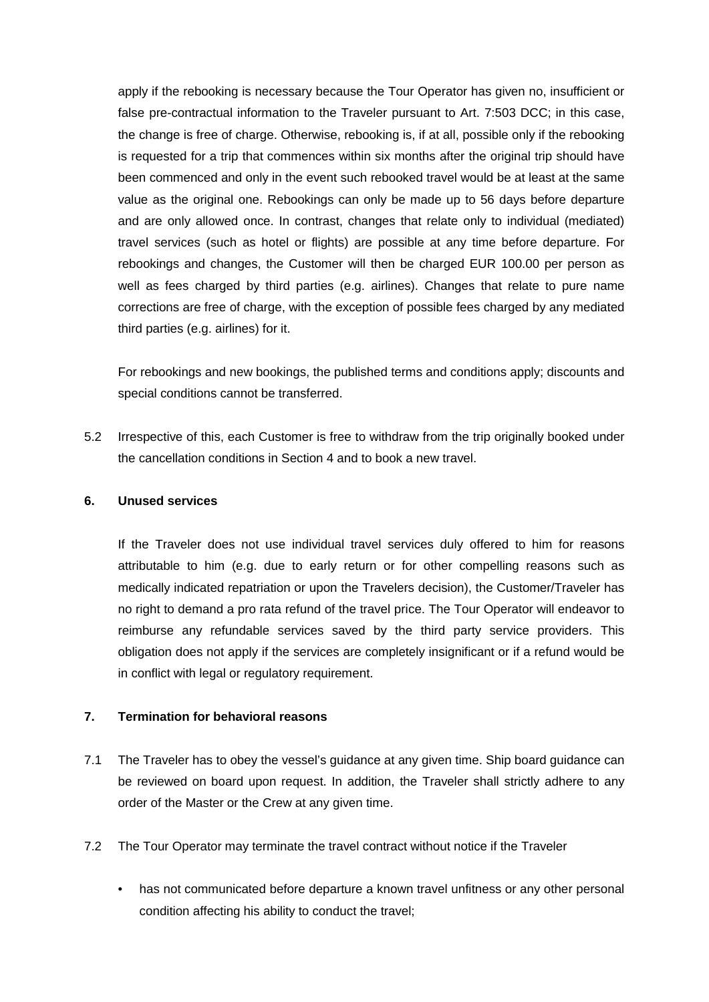apply if the rebooking is necessary because the Tour Operator has given no, insufficient or false pre-contractual information to the Traveler pursuant to Art. 7:503 DCC; in this case, the change is free of charge. Otherwise, rebooking is, if at all, possible only if the rebooking is requested for a trip that commences within six months after the original trip should have been commenced and only in the event such rebooked travel would be at least at the same value as the original one. Rebookings can only be made up to 56 days before departure and are only allowed once. In contrast, changes that relate only to individual (mediated) travel services (such as hotel or flights) are possible at any time before departure. For rebookings and changes, the Customer will then be charged EUR 100.00 per person as well as fees charged by third parties (e.g. airlines). Changes that relate to pure name corrections are free of charge, with the exception of possible fees charged by any mediated third parties (e.g. airlines) for it.

For rebookings and new bookings, the published terms and conditions apply; discounts and special conditions cannot be transferred.

5.2 Irrespective of this, each Customer is free to withdraw from the trip originally booked under the cancellation conditions in Section 4 and to book a new travel.

## **6. Unused services**

If the Traveler does not use individual travel services duly offered to him for reasons attributable to him (e.g. due to early return or for other compelling reasons such as medically indicated repatriation or upon the Travelers decision), the Customer/Traveler has no right to demand a pro rata refund of the travel price. The Tour Operator will endeavor to reimburse any refundable services saved by the third party service providers. This obligation does not apply if the services are completely insignificant or if a refund would be in conflict with legal or regulatory requirement.

# **7. Termination for behavioral reasons**

- 7.1 The Traveler has to obey the vessel's guidance at any given time. Ship board guidance can be reviewed on board upon request. In addition, the Traveler shall strictly adhere to any order of the Master or the Crew at any given time.
- 7.2 The Tour Operator may terminate the travel contract without notice if the Traveler
	- has not communicated before departure a known travel unfitness or any other personal condition affecting his ability to conduct the travel;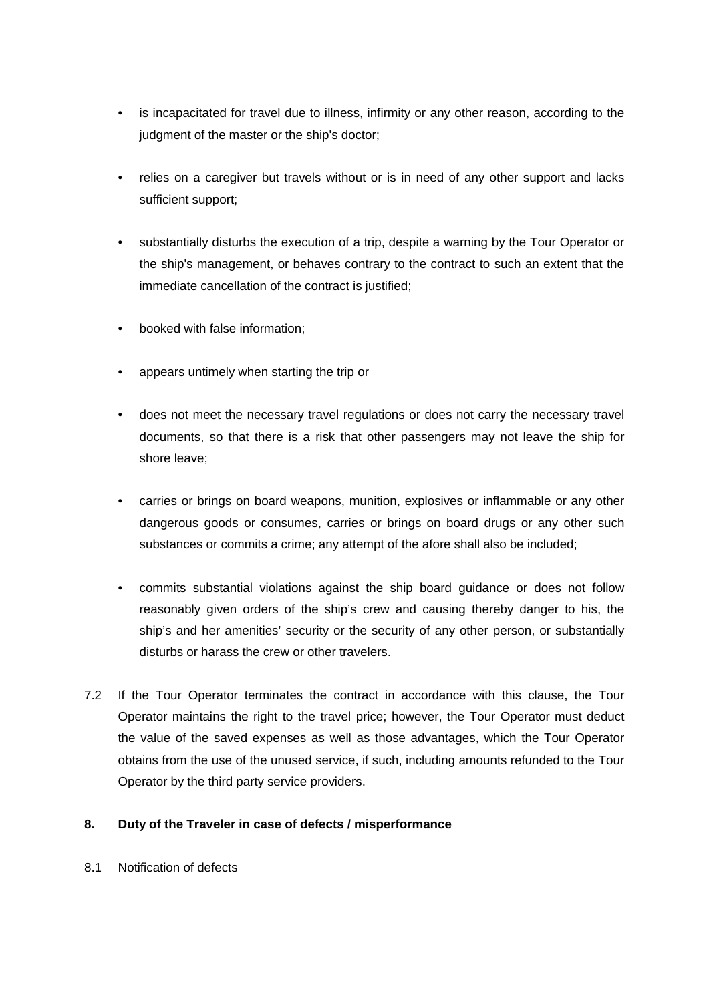- is incapacitated for travel due to illness, infirmity or any other reason, according to the judgment of the master or the ship's doctor;
- relies on a caregiver but travels without or is in need of any other support and lacks sufficient support;
- substantially disturbs the execution of a trip, despite a warning by the Tour Operator or the ship's management, or behaves contrary to the contract to such an extent that the immediate cancellation of the contract is justified;
- booked with false information;
- appears untimely when starting the trip or
- does not meet the necessary travel regulations or does not carry the necessary travel documents, so that there is a risk that other passengers may not leave the ship for shore leave;
- carries or brings on board weapons, munition, explosives or inflammable or any other dangerous goods or consumes, carries or brings on board drugs or any other such substances or commits a crime; any attempt of the afore shall also be included;
- commits substantial violations against the ship board guidance or does not follow reasonably given orders of the ship's crew and causing thereby danger to his, the ship's and her amenities' security or the security of any other person, or substantially disturbs or harass the crew or other travelers.
- 7.2 If the Tour Operator terminates the contract in accordance with this clause, the Tour Operator maintains the right to the travel price; however, the Tour Operator must deduct the value of the saved expenses as well as those advantages, which the Tour Operator obtains from the use of the unused service, if such, including amounts refunded to the Tour Operator by the third party service providers.

# **8. Duty of the Traveler in case of defects / misperformance**

8.1 Notification of defects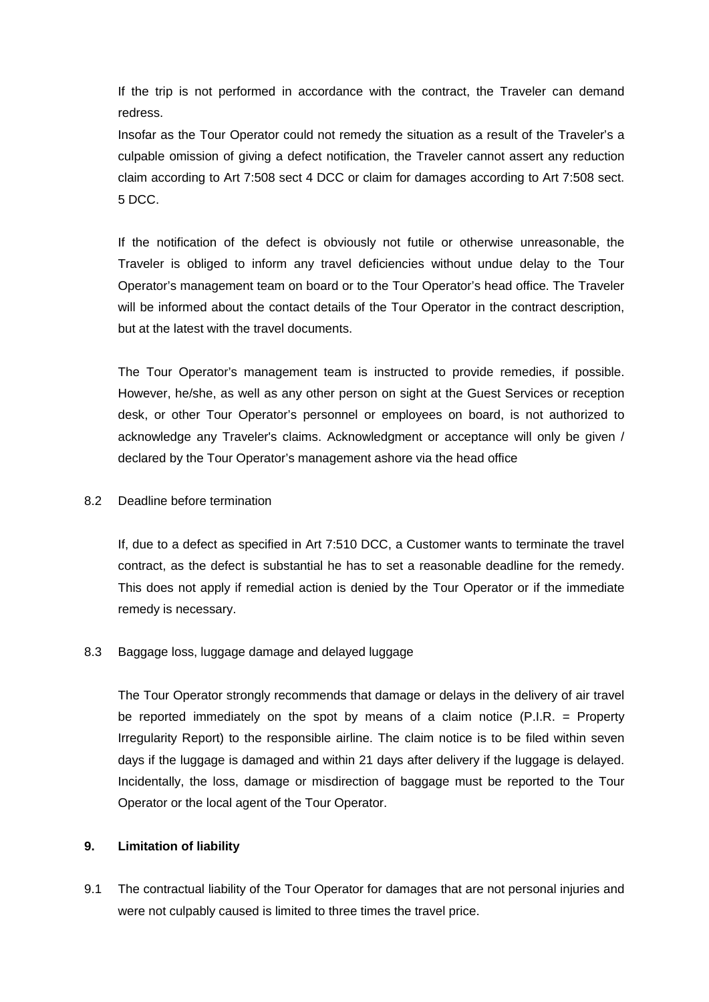If the trip is not performed in accordance with the contract, the Traveler can demand redress.

Insofar as the Tour Operator could not remedy the situation as a result of the Traveler's a culpable omission of giving a defect notification, the Traveler cannot assert any reduction claim according to Art 7:508 sect 4 DCC or claim for damages according to Art 7:508 sect. 5 DCC.

If the notification of the defect is obviously not futile or otherwise unreasonable, the Traveler is obliged to inform any travel deficiencies without undue delay to the Tour Operator's management team on board or to the Tour Operator's head office. The Traveler will be informed about the contact details of the Tour Operator in the contract description, but at the latest with the travel documents.

The Tour Operator's management team is instructed to provide remedies, if possible. However, he/she, as well as any other person on sight at the Guest Services or reception desk, or other Tour Operator's personnel or employees on board, is not authorized to acknowledge any Traveler's claims. Acknowledgment or acceptance will only be given / declared by the Tour Operator's management ashore via the head office

## 8.2 Deadline before termination

If, due to a defect as specified in Art 7:510 DCC, a Customer wants to terminate the travel contract, as the defect is substantial he has to set a reasonable deadline for the remedy. This does not apply if remedial action is denied by the Tour Operator or if the immediate remedy is necessary.

# 8.3 Baggage loss, luggage damage and delayed luggage

The Tour Operator strongly recommends that damage or delays in the delivery of air travel be reported immediately on the spot by means of a claim notice (P.I.R. = Property Irregularity Report) to the responsible airline. The claim notice is to be filed within seven days if the luggage is damaged and within 21 days after delivery if the luggage is delayed. Incidentally, the loss, damage or misdirection of baggage must be reported to the Tour Operator or the local agent of the Tour Operator.

### **9. Limitation of liability**

9.1 The contractual liability of the Tour Operator for damages that are not personal injuries and were not culpably caused is limited to three times the travel price.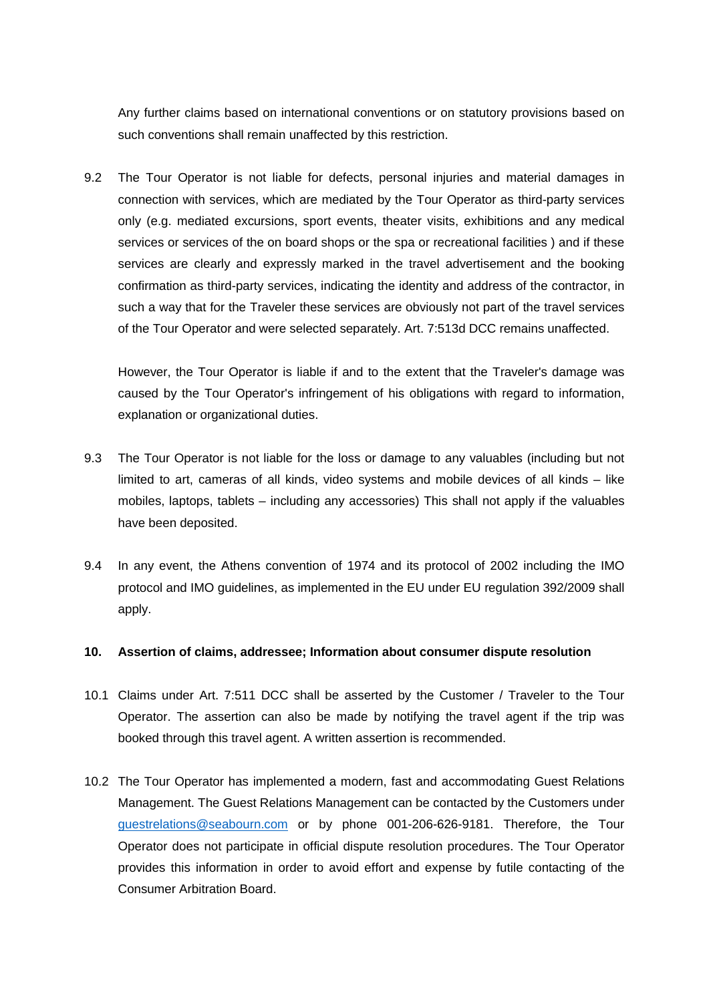Any further claims based on international conventions or on statutory provisions based on such conventions shall remain unaffected by this restriction.

9.2 The Tour Operator is not liable for defects, personal injuries and material damages in connection with services, which are mediated by the Tour Operator as third-party services only (e.g. mediated excursions, sport events, theater visits, exhibitions and any medical services or services of the on board shops or the spa or recreational facilities ) and if these services are clearly and expressly marked in the travel advertisement and the booking confirmation as third-party services, indicating the identity and address of the contractor, in such a way that for the Traveler these services are obviously not part of the travel services of the Tour Operator and were selected separately. Art. 7:513d DCC remains unaffected.

However, the Tour Operator is liable if and to the extent that the Traveler's damage was caused by the Tour Operator's infringement of his obligations with regard to information, explanation or organizational duties.

- 9.3 The Tour Operator is not liable for the loss or damage to any valuables (including but not limited to art, cameras of all kinds, video systems and mobile devices of all kinds – like mobiles, laptops, tablets – including any accessories) This shall not apply if the valuables have been deposited.
- 9.4 In any event, the Athens convention of 1974 and its protocol of 2002 including the IMO protocol and IMO guidelines, as implemented in the EU under EU regulation 392/2009 shall apply.

### **10. Assertion of claims, addressee; Information about consumer dispute resolution**

- 10.1 Claims under Art. 7:511 DCC shall be asserted by the Customer / Traveler to the Tour Operator. The assertion can also be made by notifying the travel agent if the trip was booked through this travel agent. A written assertion is recommended.
- 10.2 The Tour Operator has implemented a modern, fast and accommodating Guest Relations Management. The Guest Relations Management can be contacted by the Customers under [guestrelations@seabourn.com](mailto:guestrelations@seabourn.com) or by phone 001-206-626-9181. Therefore, the Tour Operator does not participate in official dispute resolution procedures. The Tour Operator provides this information in order to avoid effort and expense by futile contacting of the Consumer Arbitration Board.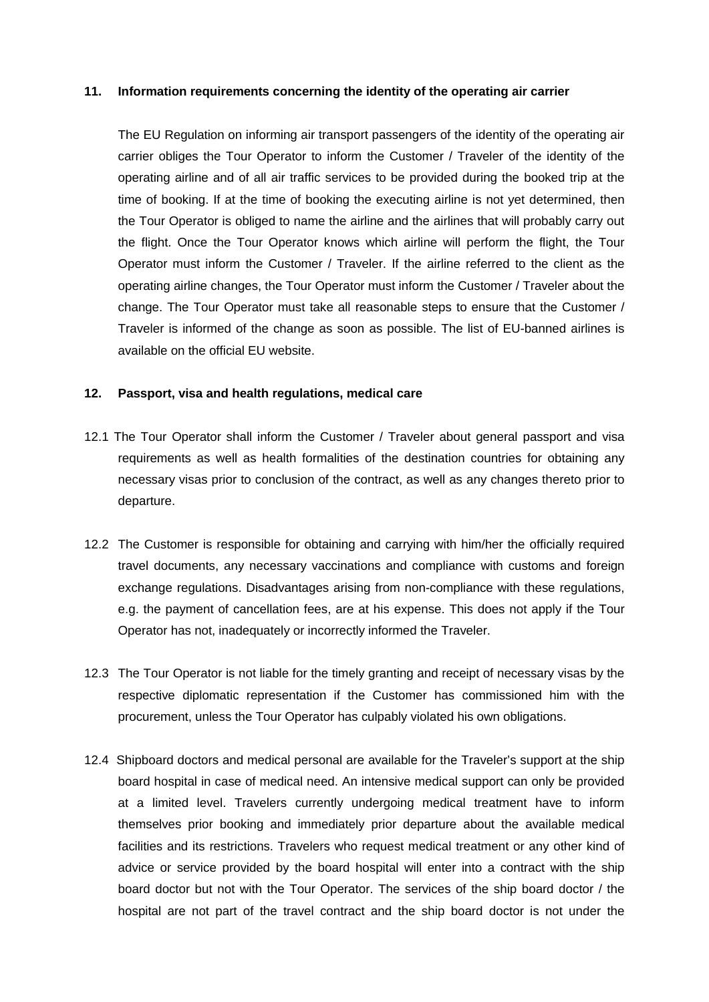#### **11. Information requirements concerning the identity of the operating air carrier**

The EU Regulation on informing air transport passengers of the identity of the operating air carrier obliges the Tour Operator to inform the Customer / Traveler of the identity of the operating airline and of all air traffic services to be provided during the booked trip at the time of booking. If at the time of booking the executing airline is not yet determined, then the Tour Operator is obliged to name the airline and the airlines that will probably carry out the flight. Once the Tour Operator knows which airline will perform the flight, the Tour Operator must inform the Customer / Traveler. If the airline referred to the client as the operating airline changes, the Tour Operator must inform the Customer / Traveler about the change. The Tour Operator must take all reasonable steps to ensure that the Customer / Traveler is informed of the change as soon as possible. The list of EU-banned airlines is available on the official EU website.

#### **12. Passport, visa and health regulations, medical care**

- 12.1 The Tour Operator shall inform the Customer / Traveler about general passport and visa requirements as well as health formalities of the destination countries for obtaining any necessary visas prior to conclusion of the contract, as well as any changes thereto prior to departure.
- 12.2 The Customer is responsible for obtaining and carrying with him/her the officially required travel documents, any necessary vaccinations and compliance with customs and foreign exchange regulations. Disadvantages arising from non-compliance with these regulations, e.g. the payment of cancellation fees, are at his expense. This does not apply if the Tour Operator has not, inadequately or incorrectly informed the Traveler.
- 12.3 The Tour Operator is not liable for the timely granting and receipt of necessary visas by the respective diplomatic representation if the Customer has commissioned him with the procurement, unless the Tour Operator has culpably violated his own obligations.
- 12.4 Shipboard doctors and medical personal are available for the Traveler's support at the ship board hospital in case of medical need. An intensive medical support can only be provided at a limited level. Travelers currently undergoing medical treatment have to inform themselves prior booking and immediately prior departure about the available medical facilities and its restrictions. Travelers who request medical treatment or any other kind of advice or service provided by the board hospital will enter into a contract with the ship board doctor but not with the Tour Operator. The services of the ship board doctor / the hospital are not part of the travel contract and the ship board doctor is not under the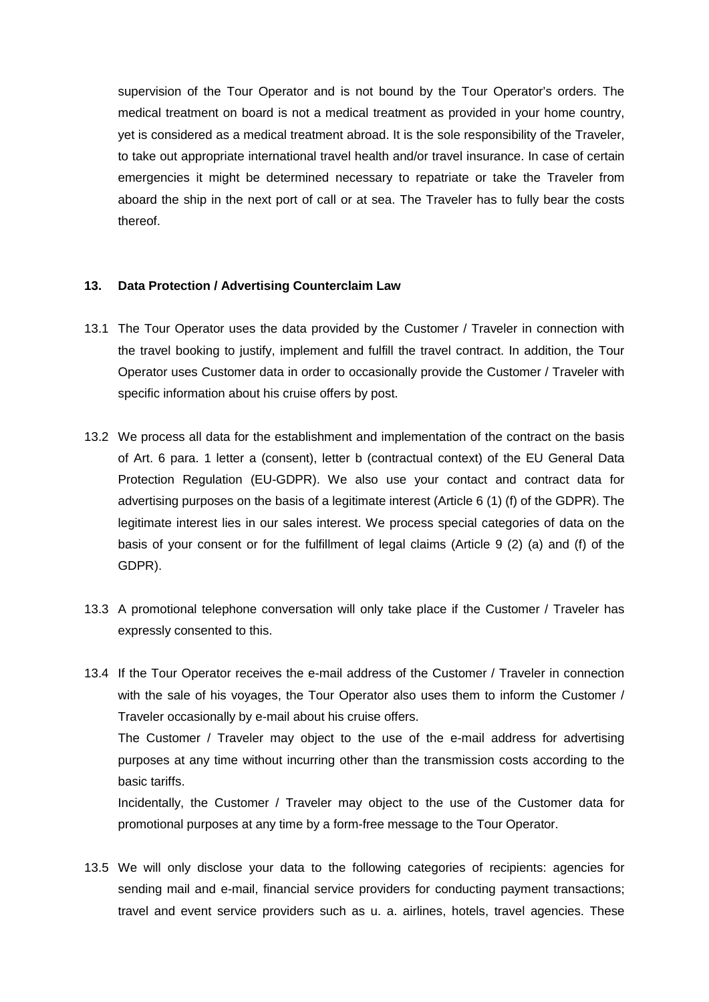supervision of the Tour Operator and is not bound by the Tour Operator's orders. The medical treatment on board is not a medical treatment as provided in your home country, yet is considered as a medical treatment abroad. It is the sole responsibility of the Traveler, to take out appropriate international travel health and/or travel insurance. In case of certain emergencies it might be determined necessary to repatriate or take the Traveler from aboard the ship in the next port of call or at sea. The Traveler has to fully bear the costs thereof.

### **13. Data Protection / Advertising Counterclaim Law**

- 13.1 The Tour Operator uses the data provided by the Customer / Traveler in connection with the travel booking to justify, implement and fulfill the travel contract. In addition, the Tour Operator uses Customer data in order to occasionally provide the Customer / Traveler with specific information about his cruise offers by post.
- 13.2 We process all data for the establishment and implementation of the contract on the basis of Art. 6 para. 1 letter a (consent), letter b (contractual context) of the EU General Data Protection Regulation (EU-GDPR). We also use your contact and contract data for advertising purposes on the basis of a legitimate interest (Article 6 (1) (f) of the GDPR). The legitimate interest lies in our sales interest. We process special categories of data on the basis of your consent or for the fulfillment of legal claims (Article 9 (2) (a) and (f) of the GDPR).
- 13.3 A promotional telephone conversation will only take place if the Customer / Traveler has expressly consented to this.

13.4 If the Tour Operator receives the e-mail address of the Customer / Traveler in connection with the sale of his voyages, the Tour Operator also uses them to inform the Customer / Traveler occasionally by e-mail about his cruise offers. The Customer / Traveler may object to the use of the e-mail address for advertising purposes at any time without incurring other than the transmission costs according to the basic tariffs.

Incidentally, the Customer / Traveler may object to the use of the Customer data for promotional purposes at any time by a form-free message to the Tour Operator.

13.5 We will only disclose your data to the following categories of recipients: agencies for sending mail and e-mail, financial service providers for conducting payment transactions; travel and event service providers such as u. a. airlines, hotels, travel agencies. These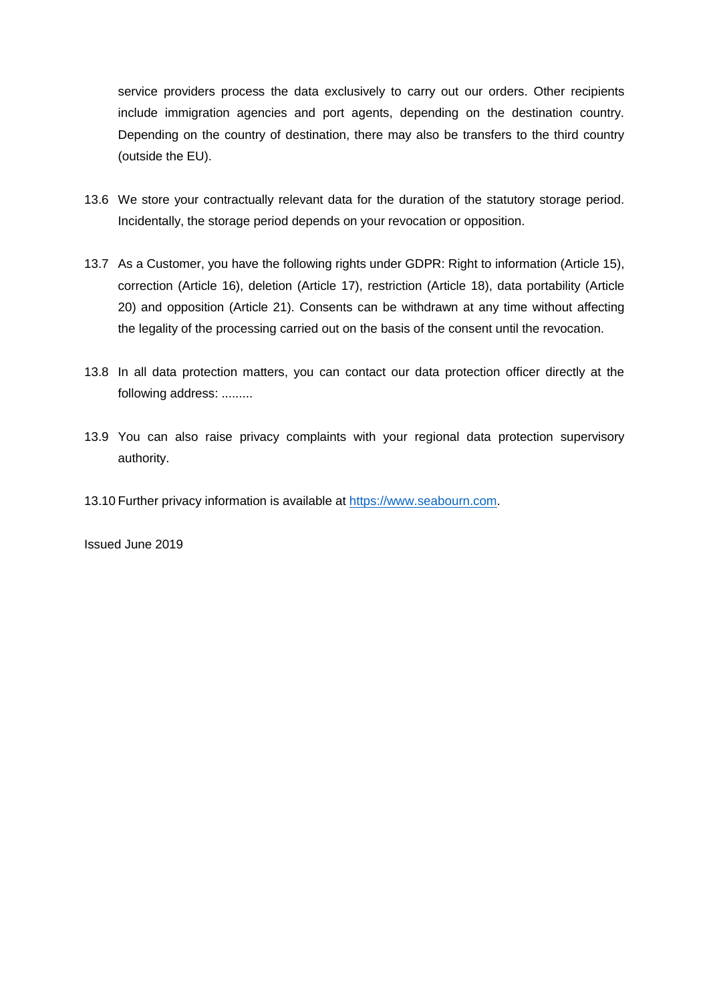service providers process the data exclusively to carry out our orders. Other recipients include immigration agencies and port agents, depending on the destination country. Depending on the country of destination, there may also be transfers to the third country (outside the EU).

- 13.6 We store your contractually relevant data for the duration of the statutory storage period. Incidentally, the storage period depends on your revocation or opposition.
- 13.7 As a Customer, you have the following rights under GDPR: Right to information (Article 15), correction (Article 16), deletion (Article 17), restriction (Article 18), data portability (Article 20) and opposition (Article 21). Consents can be withdrawn at any time without affecting the legality of the processing carried out on the basis of the consent until the revocation.
- 13.8 In all data protection matters, you can contact our data protection officer directly at the following address: .........
- 13.9 You can also raise privacy complaints with your regional data protection supervisory authority.
- 13.10 Further privacy information is available at [https://www.seabourn.com.](https://www.seabourn.com/)

Issued June 2019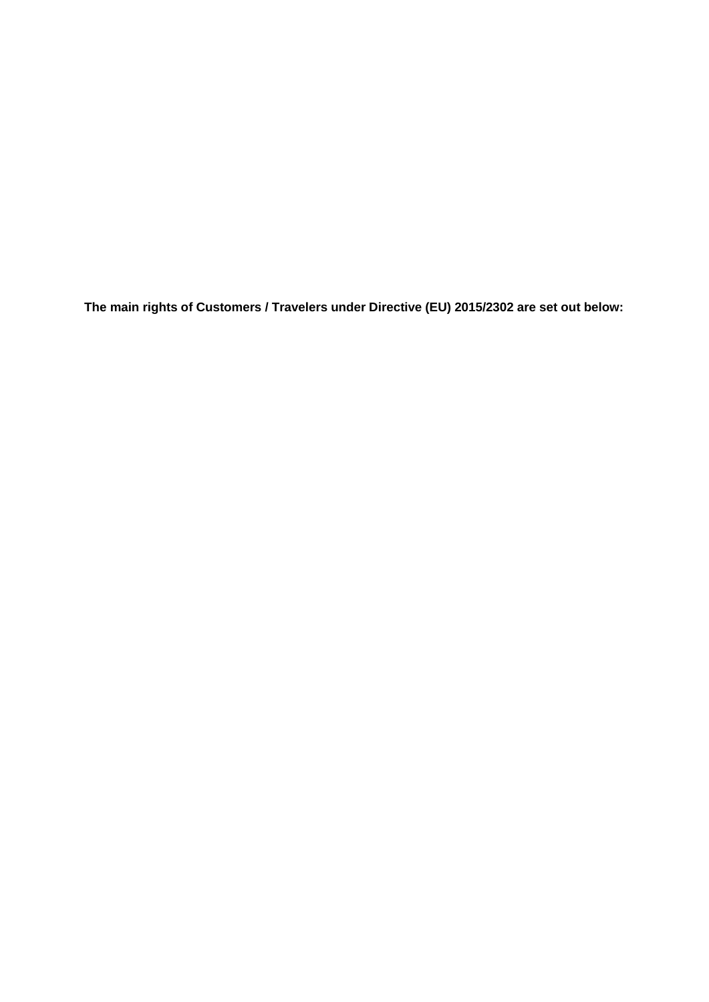**The main rights of Customers / Travelers under Directive (EU) 2015/2302 are set out below:**